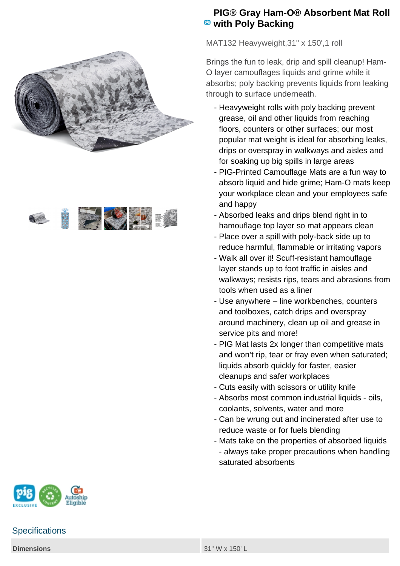



## **PIG® Gray Ham-O® Absorbent Mat Roll with Poly Backing**

MAT132 Heavyweight, 31" x 150', 1 roll

Brings the fun to leak, drip and spill cleanup! Ham-O layer camouflages liquids and grime while it absorbs; poly backing prevents liquids from leaking through to surface underneath.

- Heavyweight rolls with poly backing prevent grease, oil and other liquids from reaching floors, counters or other surfaces; our most popular mat weight is ideal for absorbing leaks, drips or overspray in walkways and aisles and for soaking up big spills in large areas
- PIG-Printed Camouflage Mats are a fun way to absorb liquid and hide grime; Ham-O mats keep your workplace clean and your employees safe and happy
- Absorbed leaks and drips blend right in to hamouflage top layer so mat appears clean
- Place over a spill with poly-back side up to reduce harmful, flammable or irritating vapors
- Walk all over it! Scuff-resistant hamouflage layer stands up to foot traffic in aisles and walkways; resists rips, tears and abrasions from tools when used as a liner
- Use anywhere line workbenches, counters and toolboxes, catch drips and overspray around machinery, clean up oil and grease in service pits and more!
- PIG Mat lasts 2x longer than competitive mats and won't rip, tear or fray even when saturated; liquids absorb quickly for faster, easier cleanups and safer workplaces
- Cuts easily with scissors or utility knife
- Absorbs most common industrial liquids oils, coolants, solvents, water and more
- Can be wrung out and incinerated after use to reduce waste or for fuels blending
- Mats take on the properties of absorbed liquids - always take proper precautions when handling saturated absorbents



## **Specifications**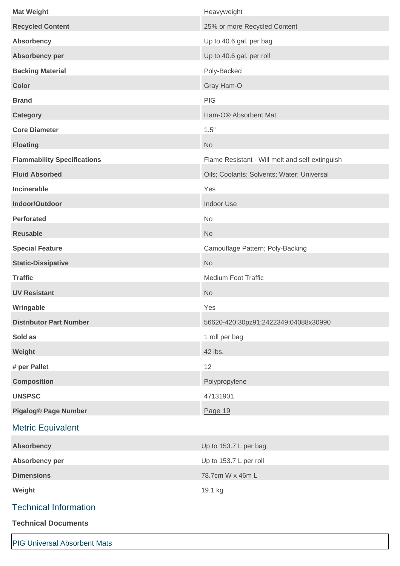| <b>Mat Weight</b>                   | Heavyweight                                     |
|-------------------------------------|-------------------------------------------------|
| <b>Recycled Content</b>             | 25% or more Recycled Content                    |
| <b>Absorbency</b>                   | Up to 40.6 gal. per bag                         |
| Absorbency per                      | Up to 40.6 gal. per roll                        |
| <b>Backing Material</b>             | Poly-Backed                                     |
| <b>Color</b>                        | Gray Ham-O                                      |
| <b>Brand</b>                        | PIG                                             |
| <b>Category</b>                     | Ham-O® Absorbent Mat                            |
| <b>Core Diameter</b>                | 1.5"                                            |
| <b>Floating</b>                     | <b>No</b>                                       |
| <b>Flammability Specifications</b>  | Flame Resistant - Will melt and self-extinguish |
| <b>Fluid Absorbed</b>               | Oils; Coolants; Solvents; Water; Universal      |
| Incinerable                         | Yes                                             |
| Indoor/Outdoor                      | <b>Indoor Use</b>                               |
| <b>Perforated</b>                   | No                                              |
| <b>Reusable</b>                     | <b>No</b>                                       |
| <b>Special Feature</b>              | Camouflage Pattern; Poly-Backing                |
| <b>Static-Dissipative</b>           | <b>No</b>                                       |
| <b>Traffic</b>                      | <b>Medium Foot Traffic</b>                      |
| <b>UV Resistant</b>                 | <b>No</b>                                       |
| Wringable                           | Yes                                             |
| <b>Distributor Part Number</b>      | 56620-420;30pz91;2422349;04088x30990            |
| Sold as                             | 1 roll per bag                                  |
| Weight                              | 42 lbs.                                         |
| # per Pallet                        | 12                                              |
| <b>Composition</b>                  | Polypropylene                                   |
| <b>UNSPSC</b>                       | 47131901                                        |
| <b>Pigalog® Page Number</b>         | Page 19                                         |
| <b>Metric Equivalent</b>            |                                                 |
| <b>Absorbency</b>                   | Up to 153.7 L per bag                           |
| Absorbency per                      | Up to 153.7 L per roll                          |
| <b>Dimensions</b>                   | 78.7cm W x 46m L                                |
| Weight                              | 19.1 kg                                         |
| <b>Technical Information</b>        |                                                 |
| <b>Technical Documents</b>          |                                                 |
|                                     |                                                 |
| <b>PIG Universal Absorbent Mats</b> |                                                 |